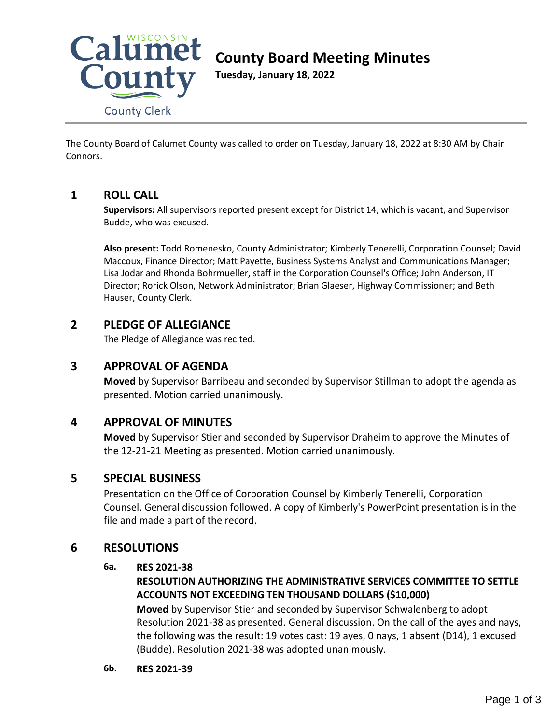

# **County Board Meeting Minutes**

**Tuesday, January 18, 2022**

The County Board of Calumet County was called to order on Tuesday, January 18, 2022 at 8:30 AM by Chair Connors.

# **1 ROLL CALL**

**Supervisors:** All supervisors reported present except for District 14, which is vacant, and Supervisor Budde, who was excused.

**Also present:** Todd Romenesko, County Administrator; Kimberly Tenerelli, Corporation Counsel; David Maccoux, Finance Director; Matt Payette, Business Systems Analyst and Communications Manager; Lisa Jodar and Rhonda Bohrmueller, staff in the Corporation Counsel's Office; John Anderson, IT Director; Rorick Olson, Network Administrator; Brian Glaeser, Highway Commissioner; and Beth Hauser, County Clerk.

# **2 PLEDGE OF ALLEGIANCE**

The Pledge of Allegiance was recited.

# **3 APPROVAL OF AGENDA**

**Moved** by Supervisor Barribeau and seconded by Supervisor Stillman to adopt the agenda as presented. Motion carried unanimously.

# **4 APPROVAL OF MINUTES**

**Moved** by Supervisor Stier and seconded by Supervisor Draheim to approve the Minutes of the 12-21-21 Meeting as presented. Motion carried unanimously.

# **5 SPECIAL BUSINESS**

Presentation on the Office of Corporation Counsel by Kimberly Tenerelli, Corporation Counsel. General discussion followed. A copy of Kimberly's PowerPoint presentation is in the file and made a part of the record.

# **6 RESOLUTIONS**

## **6a. RES 2021-38**

# **RESOLUTION AUTHORIZING THE ADMINISTRATIVE SERVICES COMMITTEE TO SETTLE ACCOUNTS NOT EXCEEDING TEN THOUSAND DOLLARS (\$10,000)**

**Moved** by Supervisor Stier and seconded by Supervisor Schwalenberg to adopt Resolution 2021-38 as presented. General discussion. On the call of the ayes and nays, the following was the result: 19 votes cast: 19 ayes, 0 nays, 1 absent (D14), 1 excused (Budde). Resolution 2021-38 was adopted unanimously.

**6b. RES 2021-39**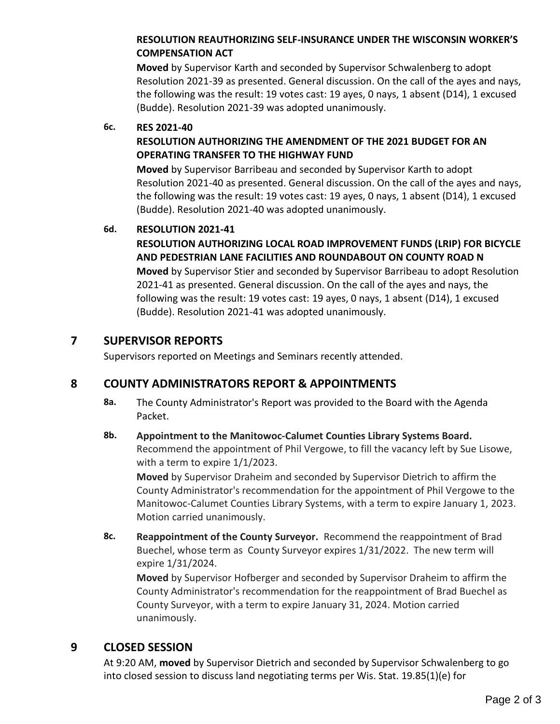# **RESOLUTION REAUTHORIZING SELF-INSURANCE UNDER THE WISCONSIN WORKER'S COMPENSATION ACT**

**Moved** by Supervisor Karth and seconded by Supervisor Schwalenberg to adopt Resolution 2021-39 as presented. General discussion. On the call of the ayes and nays, the following was the result: 19 votes cast: 19 ayes, 0 nays, 1 absent (D14), 1 excused (Budde). Resolution 2021-39 was adopted unanimously.

### **6c. RES 2021-40**

## **RESOLUTION AUTHORIZING THE AMENDMENT OF THE 2021 BUDGET FOR AN OPERATING TRANSFER TO THE HIGHWAY FUND**

**Moved** by Supervisor Barribeau and seconded by Supervisor Karth to adopt Resolution 2021-40 as presented. General discussion. On the call of the ayes and nays, the following was the result: 19 votes cast: 19 ayes, 0 nays, 1 absent (D14), 1 excused (Budde). Resolution 2021-40 was adopted unanimously.

### **6d. RESOLUTION 2021-41**

**RESOLUTION AUTHORIZING LOCAL ROAD IMPROVEMENT FUNDS (LRIP) FOR BICYCLE AND PEDESTRIAN LANE FACILITIES AND ROUNDABOUT ON COUNTY ROAD N**

**Moved** by Supervisor Stier and seconded by Supervisor Barribeau to adopt Resolution 2021-41 as presented. General discussion. On the call of the ayes and nays, the following was the result: 19 votes cast: 19 ayes, 0 nays, 1 absent (D14), 1 excused (Budde). Resolution 2021-41 was adopted unanimously.

# **7 SUPERVISOR REPORTS**

Supervisors reported on Meetings and Seminars recently attended.

# **8 COUNTY ADMINISTRATORS REPORT & APPOINTMENTS**

**8a.** The County Administrator's Report was provided to the Board with the Agenda Packet.

## **8b. Appointment to the Manitowoc-Calumet Counties Library Systems Board.**

Recommend the appointment of Phil Vergowe, to fill the vacancy left by Sue Lisowe, with a term to expire 1/1/2023.

**Moved** by Supervisor Draheim and seconded by Supervisor Dietrich to affirm the County Administrator's recommendation for the appointment of Phil Vergowe to the Manitowoc-Calumet Counties Library Systems, with a term to expire January 1, 2023. Motion carried unanimously.

**8c. Reappointment of the County Surveyor.** Recommend the reappointment of Brad Buechel, whose term as County Surveyor expires 1/31/2022. The new term will expire 1/31/2024.

**Moved** by Supervisor Hofberger and seconded by Supervisor Draheim to affirm the County Administrator's recommendation for the reappointment of Brad Buechel as County Surveyor, with a term to expire January 31, 2024. Motion carried unanimously.

# **9 CLOSED SESSION**

At 9:20 AM, **moved** by Supervisor Dietrich and seconded by Supervisor Schwalenberg to go into closed session to discuss land negotiating terms per Wis. Stat. 19.85(1)(e) for